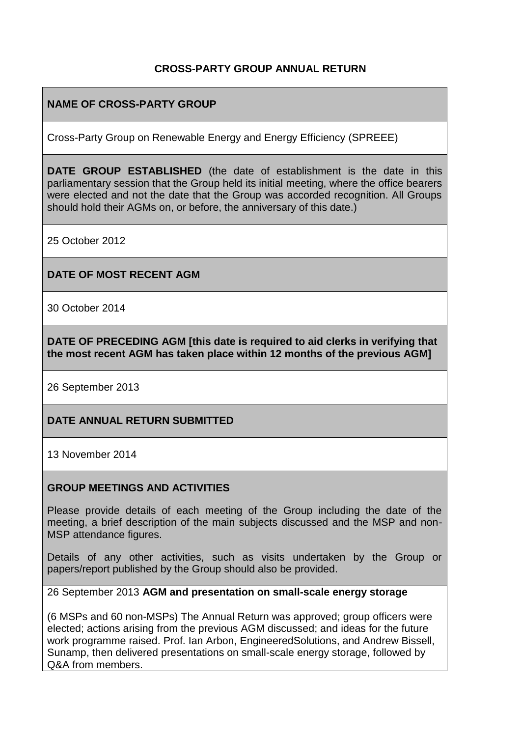# **CROSS-PARTY GROUP ANNUAL RETURN**

# **NAME OF CROSS-PARTY GROUP**

Cross-Party Group on Renewable Energy and Energy Efficiency (SPREEE)

**DATE GROUP ESTABLISHED** (the date of establishment is the date in this parliamentary session that the Group held its initial meeting, where the office bearers were elected and not the date that the Group was accorded recognition. All Groups should hold their AGMs on, or before, the anniversary of this date.)

25 October 2012

#### **DATE OF MOST RECENT AGM**

30 October 2014

**DATE OF PRECEDING AGM [this date is required to aid clerks in verifying that the most recent AGM has taken place within 12 months of the previous AGM]**

26 September 2013

### **DATE ANNUAL RETURN SUBMITTED**

13 November 2014

#### **GROUP MEETINGS AND ACTIVITIES**

Please provide details of each meeting of the Group including the date of the meeting, a brief description of the main subjects discussed and the MSP and non-MSP attendance figures.

Details of any other activities, such as visits undertaken by the Group or papers/report published by the Group should also be provided.

26 September 2013 **AGM and presentation on small-scale energy storage**

(6 MSPs and 60 non-MSPs) The Annual Return was approved; group officers were elected; actions arising from the previous AGM discussed; and ideas for the future work programme raised. Prof. Ian Arbon, EngineeredSolutions, and Andrew Bissell, Sunamp, then delivered presentations on small-scale energy storage, followed by Q&A from members.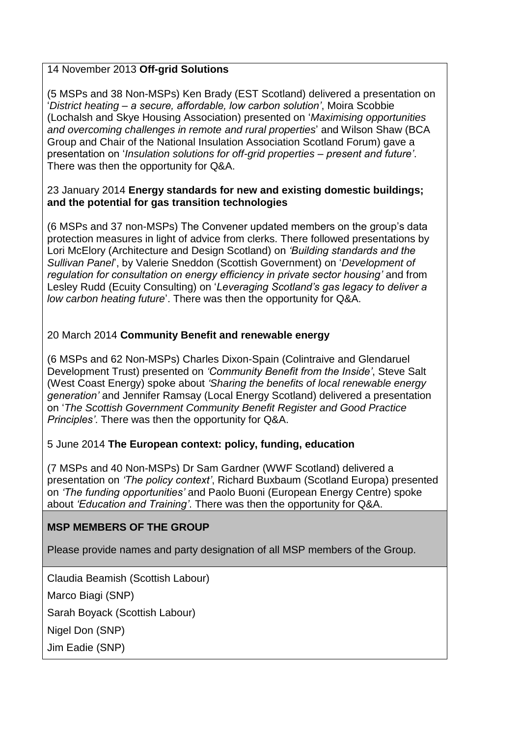# 14 November 2013 **Off-grid Solutions**

(5 MSPs and 38 Non-MSPs) Ken Brady (EST Scotland) delivered a presentation on '*District heating – a secure, affordable, low carbon solution'*, Moira Scobbie (Lochalsh and Skye Housing Association) presented on '*Maximising opportunities and overcoming challenges in remote and rural properties*' and Wilson Shaw (BCA Group and Chair of the National Insulation Association Scotland Forum) gave a presentation on '*Insulation solutions for off-grid properties – present and future'*. There was then the opportunity for Q&A.

### 23 January 2014 **Energy standards for new and existing domestic buildings; and the potential for gas transition technologies**

(6 MSPs and 37 non-MSPs) The Convener updated members on the group's data protection measures in light of advice from clerks. There followed presentations by Lori McElory (Architecture and Design Scotland) on *'Building standards and the Sullivan Panel*', by Valerie Sneddon (Scottish Government) on '*Development of regulation for consultation on energy efficiency in private sector housing'* and from Lesley Rudd (Ecuity Consulting) on '*Leveraging Scotland's gas legacy to deliver a low carbon heating future*'. There was then the opportunity for Q&A.

# 20 March 2014 **Community Benefit and renewable energy**

(6 MSPs and 62 Non-MSPs) Charles Dixon-Spain (Colintraive and Glendaruel Development Trust) presented on *'Community Benefit from the Inside'*, Steve Salt (West Coast Energy) spoke about *'Sharing the benefits of local renewable energy generation'* and Jennifer Ramsay (Local Energy Scotland) delivered a presentation on '*The Scottish Government Community Benefit Register and Good Practice Principles'*. There was then the opportunity for Q&A.

# 5 June 2014 **The European context: policy, funding, education**

(7 MSPs and 40 Non-MSPs) Dr Sam Gardner (WWF Scotland) delivered a presentation on *'The policy context'*, Richard Buxbaum (Scotland Europa) presented on *'The funding opportunities'* and Paolo Buoni (European Energy Centre) spoke about *'Education and Training'*. There was then the opportunity for Q&A.

# **MSP MEMBERS OF THE GROUP**

Please provide names and party designation of all MSP members of the Group.

Claudia Beamish (Scottish Labour)

Marco Biagi (SNP)

Sarah Boyack (Scottish Labour)

Nigel Don (SNP)

Jim Eadie (SNP)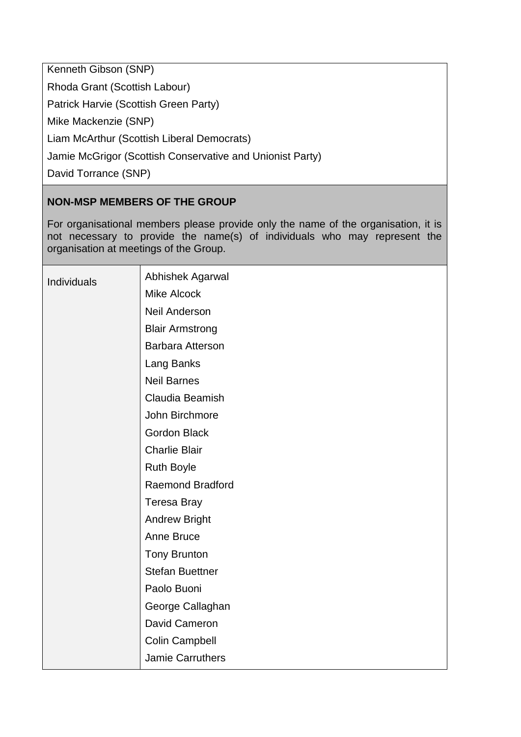Kenneth Gibson (SNP)

Rhoda Grant (Scottish Labour)

Patrick Harvie (Scottish Green Party)

Mike Mackenzie (SNP)

Liam McArthur (Scottish Liberal Democrats)

Jamie McGrigor (Scottish Conservative and Unionist Party)

David Torrance (SNP)

# **NON-MSP MEMBERS OF THE GROUP**

For organisational members please provide only the name of the organisation, it is not necessary to provide the name(s) of individuals who may represent the organisation at meetings of the Group.

| Individuals | Abhishek Agarwal        |
|-------------|-------------------------|
|             | <b>Mike Alcock</b>      |
|             | <b>Neil Anderson</b>    |
|             | <b>Blair Armstrong</b>  |
|             | <b>Barbara Atterson</b> |
|             | Lang Banks              |
|             | <b>Neil Barnes</b>      |
|             | Claudia Beamish         |
|             | John Birchmore          |
|             | <b>Gordon Black</b>     |
|             | <b>Charlie Blair</b>    |
|             | <b>Ruth Boyle</b>       |
|             | <b>Raemond Bradford</b> |
|             | <b>Teresa Bray</b>      |
|             | <b>Andrew Bright</b>    |
|             | Anne Bruce              |
|             | <b>Tony Brunton</b>     |
|             | <b>Stefan Buettner</b>  |
|             | Paolo Buoni             |
|             | George Callaghan        |
|             | David Cameron           |
|             | <b>Colin Campbell</b>   |
|             | Jamie Carruthers        |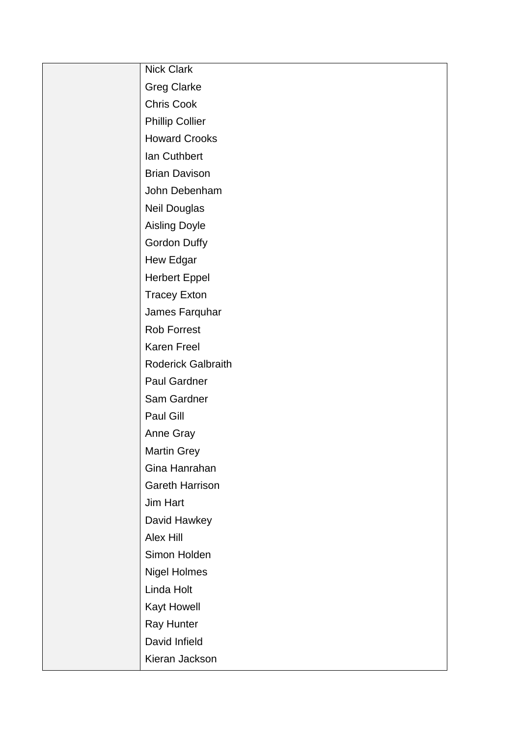| Nick Clark                |
|---------------------------|
| <b>Greg Clarke</b>        |
| <b>Chris Cook</b>         |
| <b>Phillip Collier</b>    |
| <b>Howard Crooks</b>      |
| Ian Cuthbert              |
| <b>Brian Davison</b>      |
| John Debenham             |
| <b>Neil Douglas</b>       |
| <b>Aisling Doyle</b>      |
| <b>Gordon Duffy</b>       |
| Hew Edgar                 |
| <b>Herbert Eppel</b>      |
| <b>Tracey Exton</b>       |
| James Farquhar            |
| <b>Rob Forrest</b>        |
| Karen Freel               |
| <b>Roderick Galbraith</b> |
| Paul Gardner              |
| Sam Gardner               |
| Paul Gill                 |
| Anne Gray                 |
| <b>Martin Grey</b>        |
| Gina Hanrahan             |
| <b>Gareth Harrison</b>    |
| Jim Hart                  |
| David Hawkey              |
| Alex Hill                 |
| Simon Holden              |
| <b>Nigel Holmes</b>       |
| Linda Holt                |
| Kayt Howell               |
| Ray Hunter                |
| David Infield             |
| Kieran Jackson            |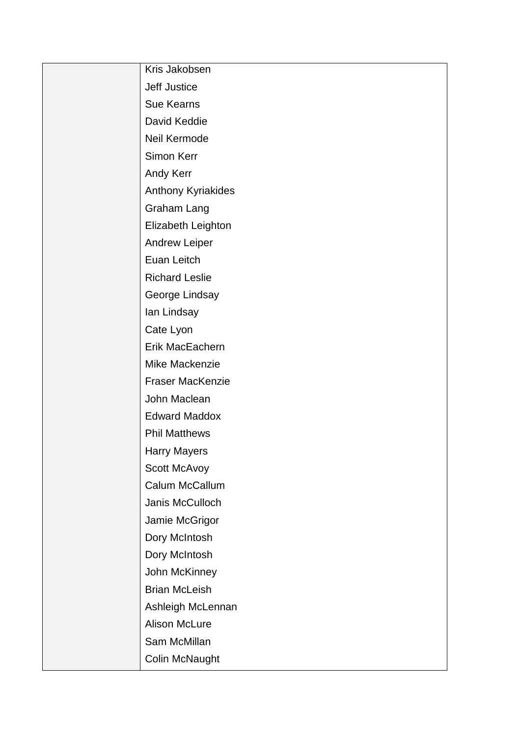| Kris Jakobsen           |
|-------------------------|
| Jeff Justice            |
| <b>Sue Kearns</b>       |
| David Keddie            |
| Neil Kermode            |
| Simon Kerr              |
| Andy Kerr               |
| Anthony Kyriakides      |
| Graham Lang             |
| Elizabeth Leighton      |
| <b>Andrew Leiper</b>    |
| Euan Leitch             |
| <b>Richard Leslie</b>   |
| George Lindsay          |
| lan Lindsay             |
| Cate Lyon               |
| Erik MacEachern         |
| Mike Mackenzie          |
| <b>Fraser MacKenzie</b> |
| John Maclean            |
| <b>Edward Maddox</b>    |
| <b>Phil Matthews</b>    |
| <b>Harry Mayers</b>     |
| Scott McAvoy            |
| Calum McCallum          |
| Janis McCulloch         |
| Jamie McGrigor          |
| Dory McIntosh           |
| Dory McIntosh           |
| John McKinney           |
| <b>Brian McLeish</b>    |
| Ashleigh McLennan       |
| Alison McLure           |
| Sam McMillan            |
| Colin McNaught          |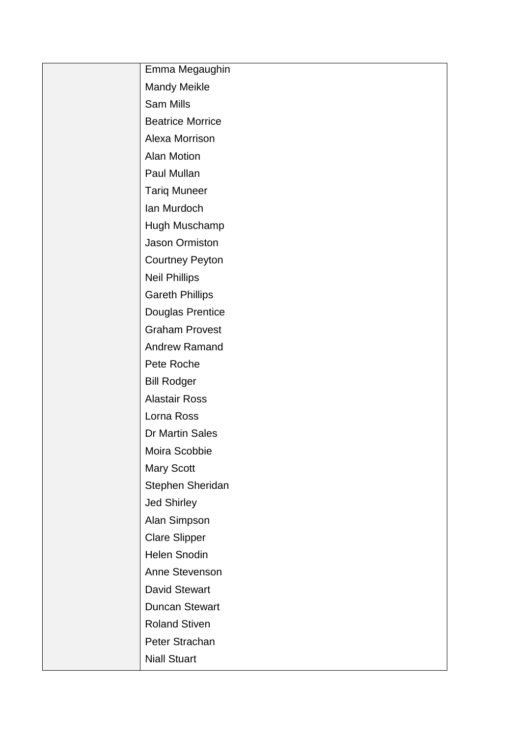| Emma Megaughin          |
|-------------------------|
| <b>Mandy Meikle</b>     |
| <b>Sam Mills</b>        |
| <b>Beatrice Morrice</b> |
| Alexa Morrison          |
| <b>Alan Motion</b>      |
| Paul Mullan             |
| <b>Tariq Muneer</b>     |
| Ian Murdoch             |
| Hugh Muschamp           |
| Jason Ormiston          |
| <b>Courtney Peyton</b>  |
| <b>Neil Phillips</b>    |
| <b>Gareth Phillips</b>  |
| <b>Douglas Prentice</b> |
| <b>Graham Provest</b>   |
| <b>Andrew Ramand</b>    |
| Pete Roche              |
| <b>Bill Rodger</b>      |
| <b>Alastair Ross</b>    |
| Lorna Ross              |
| Dr Martin Sales         |
| Moira Scobbie           |
| <b>Mary Scott</b>       |
| Stephen Sheridan        |
| Jed Shirley             |
| Alan Simpson            |
| <b>Clare Slipper</b>    |
| Helen Snodin            |
| Anne Stevenson          |
| <b>David Stewart</b>    |
| <b>Duncan Stewart</b>   |
| <b>Roland Stiven</b>    |
| Peter Strachan          |
| <b>Niall Stuart</b>     |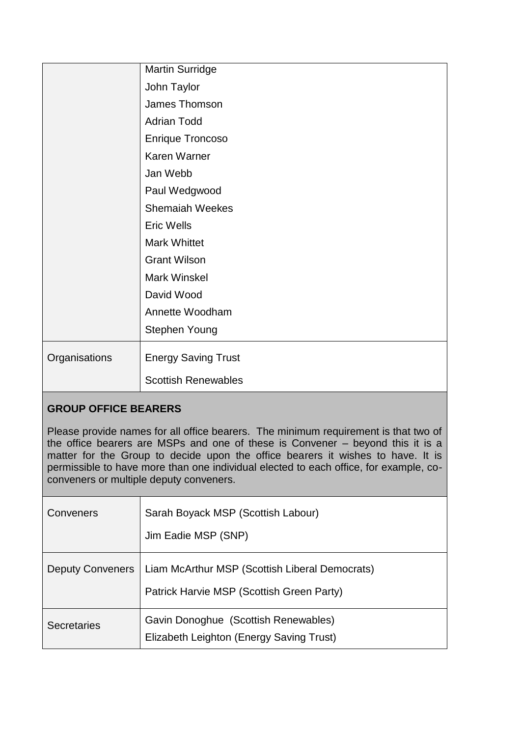|               | <b>Martin Surridge</b>     |
|---------------|----------------------------|
|               | John Taylor                |
|               | James Thomson              |
|               | <b>Adrian Todd</b>         |
|               | <b>Enrique Troncoso</b>    |
|               | Karen Warner               |
|               | Jan Webb                   |
|               | Paul Wedgwood              |
|               | <b>Shemaiah Weekes</b>     |
|               | <b>Eric Wells</b>          |
|               | <b>Mark Whittet</b>        |
|               | <b>Grant Wilson</b>        |
|               | Mark Winskel               |
|               | David Wood                 |
|               | Annette Woodham            |
|               | <b>Stephen Young</b>       |
| Organisations | <b>Energy Saving Trust</b> |
|               | <b>Scottish Renewables</b> |
|               |                            |

# **GROUP OFFICE BEARERS**

Please provide names for all office bearers. The minimum requirement is that two of the office bearers are MSPs and one of these is Convener – beyond this it is a matter for the Group to decide upon the office bearers it wishes to have. It is permissible to have more than one individual elected to each office, for example, coconveners or multiple deputy conveners.

| Conveners               | Sarah Boyack MSP (Scottish Labour)<br>Jim Eadie MSP (SNP)                                   |
|-------------------------|---------------------------------------------------------------------------------------------|
| <b>Deputy Conveners</b> | Liam McArthur MSP (Scottish Liberal Democrats)<br>Patrick Harvie MSP (Scottish Green Party) |
| <b>Secretaries</b>      | Gavin Donoghue (Scottish Renewables)<br>Elizabeth Leighton (Energy Saving Trust)            |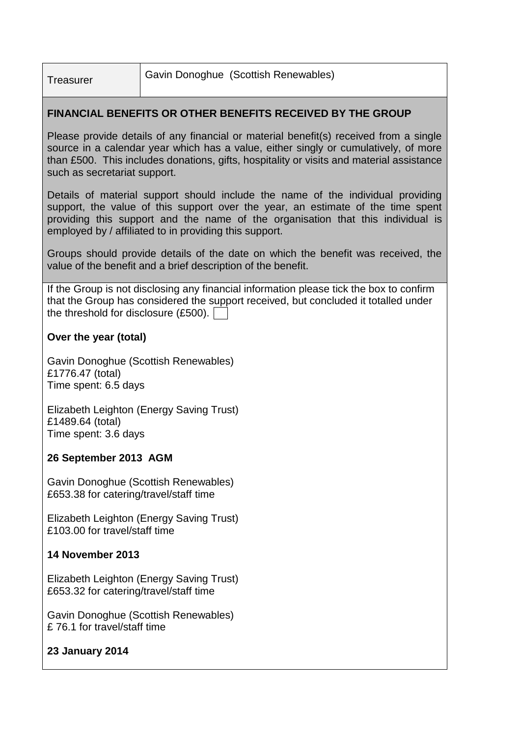Treasurer Gavin Donoghue (Scottish Renewables)

# **FINANCIAL BENEFITS OR OTHER BENEFITS RECEIVED BY THE GROUP**

Please provide details of any financial or material benefit(s) received from a single source in a calendar year which has a value, either singly or cumulatively, of more than £500. This includes donations, gifts, hospitality or visits and material assistance such as secretariat support.

Details of material support should include the name of the individual providing support, the value of this support over the year, an estimate of the time spent providing this support and the name of the organisation that this individual is employed by / affiliated to in providing this support.

Groups should provide details of the date on which the benefit was received, the value of the benefit and a brief description of the benefit.

If the Group is not disclosing any financial information please tick the box to confirm that the Group has considered the support received, but concluded it totalled under the threshold for disclosure (£500).

## **Over the year (total)**

Gavin Donoghue (Scottish Renewables) £1776.47 (total) Time spent: 6.5 days

Elizabeth Leighton (Energy Saving Trust) £1489.64 (total) Time spent: 3.6 days

### **26 September 2013 AGM**

Gavin Donoghue (Scottish Renewables) £653.38 for catering/travel/staff time

Elizabeth Leighton (Energy Saving Trust) £103.00 for travel/staff time

# **14 November 2013**

Elizabeth Leighton (Energy Saving Trust) £653.32 for catering/travel/staff time

Gavin Donoghue (Scottish Renewables) £ 76.1 for travel/staff time

# **23 January 2014**